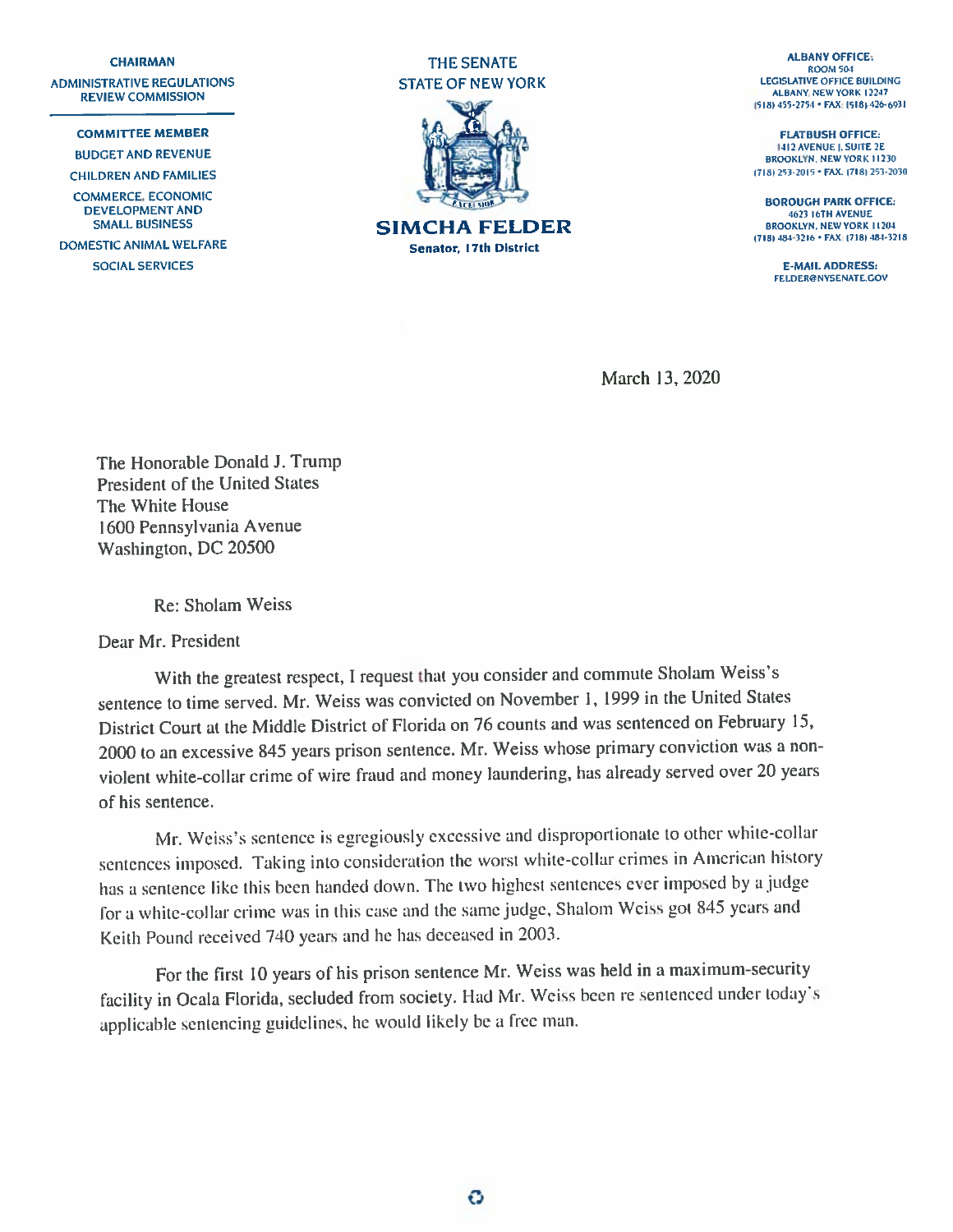**REVIEW COMMISSION** 

COMMERCE, ECONOMIC





DOMESTIC ANIMAL WELFARE **1992 • 1992** • 17181 •184-3210 • 17181 •184-3216 • 17181 •184-3216 • 17181 •184-3216 • 17181 •184-3216 • 17181 •184-3218 Senator, 17th District

1518) 455-2754 • FAX: (518) 426-6931

BROOKLYN. NEWYORK 11230

DEVELOPMENT AND **BOROUGH PARK OFFICE: EXAMPLE 2009** SMALL BUSINESS STRAND STRAND STRAND STRAND STRAND AND AG23 IGTH AVENUE BROOKLYN, NEWYORK 11204

SOCIAL SERVICES **E-MAIL ADDRESS:** FELDER@NYSENATE.GOV

March 13, 2020

The Honorable Donald J. Trump President of the United States The White House 1600 Pennsylvania Avenue Washington, DC 20500

Re: Sholam Weiss

Dear Mr. President

With the greatest respect, <sup>I</sup> reques<sup>t</sup> that you consider and commute Sholam Weiss's sentence to time served. Mr. Weiss was convicted on November I, <sup>1999</sup> in the United States District Court at the Middle District of Florida on <sup>76</sup> counts and was sentenced on February 15, <sup>2000</sup> to an excessive <sup>845</sup> years prison sentence. Mr. Weiss whose primary conviction was <sup>a</sup> non violent white-collar crime of wire fraud and money laundering, has already served over <sup>20</sup> years of his sentence.

Mr. Weiss's sentence is egregiously excessive and disproportionate to other white-collar sentences imposed. Taking into consideration the worst white-collar crimes in American history has <sup>a</sup> sentence like this been handed down. The two highest sentences ever imposed by <sup>a</sup> judge for <sup>a</sup> white-collar crime was in this case and the same judge. Shalom Weiss go<sup>t</sup> <sup>815</sup> years and Keith Pound received <sup>740</sup> years and he has deceased in 2003.

For the first <sup>10</sup> years of his prison sentence Mr. Weiss was held in <sup>a</sup> maximum-security facility in Ocala Florida, secluded from society. Had Mr. Weiss been re sentenced under today's applicable sentencing guidelines, he would likely be a free man.